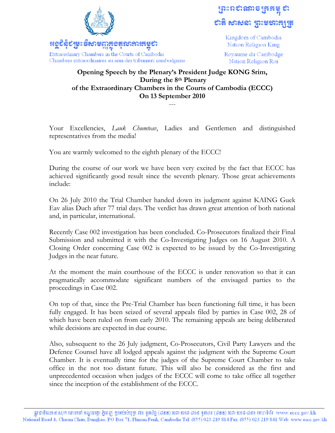

## ព្រះពស់សាម ត្រួតម្លូ ស

Kingdom of Cambodia Nation Religion King

Royaume du Cambodge Nation Religion Roi

## **Opening Speech by the Plenary's President Judge KONG Srim, During the 8th Plenary of the Extraordinary Chambers in the Courts of Cambodia (ECCC) On 13 September 2010**  ---

Your Excellencies, *Lauk Chumteav*, Ladies and Gentlemen and distinguished representatives from the media!

You are warmly welcomed to the eighth plenary of the ECCC!

During the course of our work we have been very excited by the fact that ECCC has achieved significantly good result since the seventh plenary. Those great achievements include:

On 26 July 2010 the Trial Chamber handed down its judgment against KAING Guek Eav alias Duch after 77 trial days. The verdict has drawn great attention of both national and, in particular, international.

Recently Case 002 investigation has been concluded. Co-Prosecutors finalized their Final Submission and submitted it with the Co-Investigating Judges on 16 August 2010. A Closing Order concerning Case 002 is expected to be issued by the Co-Investigating Judges in the near future.

At the moment the main courthouse of the ECCC is under renovation so that it can pragmatically accommodate significant numbers of the envisaged parties to the proceedings in Case 002.

On top of that, since the Pre-Trial Chamber has been functioning full time, it has been fully engaged. It has been seized of several appeals filed by parties in Case 002, 28 of which have been ruled on from early 2010. The remaining appeals are being deliberated while decisions are expected in due course.

Also, subsequent to the 26 July judgment, Co-Prosecutors, Civil Party Lawyers and the Defence Counsel have all lodged appeals against the judgment with the Supreme Court Chamber. It is eventually time for the judges of the Supreme Court Chamber to take office in the not too distant future. This will also be considered as the first and unprecedented occasion when judges of the ECCC will come to take office all together since the inception of the establishment of the ECCC.

ផ្លូវជាតិលេខ៤ ស/ក ចោមចៅ ខណ្ឌដង្កោ ភ្នំពេញ ប្រអប់សំបុត្រ ៧១ ទូរស័ព្ទ (៨៥៥) ២៣-២១៩-៨១៤ ទូរសារ (៨៥៥) ២៣-២១៩-៨៤១ គេហទំព័រ www.eccc.gov.kh National Road 4, Chaom Chau, Dangkao, PO Box 71, Phnom Penh, Cambodia Tel: (855) 023 219 814 Fax: (855) 023 219 841 Web: www.ecce.gov.kh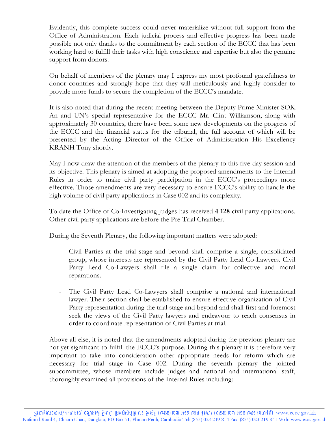Evidently, this complete success could never materialize without full support from the Office of Administration. Each judicial process and effective progress has been made possible not only thanks to the commitment by each section of the ECCC that has been working hard to fulfill their tasks with high conscience and expertise but also the genuine support from donors.

On behalf of members of the plenary may I express my most profound gratefulness to donor countries and strongly hope that they will meticulously and highly consider to provide more funds to secure the completion of the ECCC's mandate.

It is also noted that during the recent meeting between the Deputy Prime Minister SOK An and UN's special representative for the ECCC Mr. Clint Williamson, along with approximately 30 countries, there have been some new developments on the progress of the ECCC and the financial status for the tribunal, the full account of which will be presented by the Acting Director of the Office of Administration His Excellency KRANH Tony shortly.

May I now draw the attention of the members of the plenary to this five-day session and its objective. This plenary is aimed at adopting the proposed amendments to the Internal Rules in order to make civil party participation in the ECCC's proceedings more effective. Those amendments are very necessary to ensure ECCC's ability to handle the high volume of civil party applications in Case 002 and its complexity.

To date the Office of Co-Investigating Judges has received **4 128** civil party applications. Other civil party applications are before the Pre-Trial Chamber.

During the Seventh Plenary, the following important matters were adopted:

- Civil Parties at the trial stage and beyond shall comprise a single, consolidated group, whose interests are represented by the Civil Party Lead Co-Lawyers. Civil Party Lead Co-Lawyers shall file a single claim for collective and moral reparations.
- The Civil Party Lead Co-Lawyers shall comprise a national and international lawyer. Their section shall be established to ensure effective organization of Civil Party representation during the trial stage and beyond and shall first and foremost seek the views of the Civil Party lawyers and endeavour to reach consensus in order to coordinate representation of Civil Parties at trial.

Above all else, it is noted that the amendments adopted during the previous plenary are not yet significant to fulfill the ECCC's purpose. During this plenary it is therefore very important to take into consideration other appropriate needs for reform which are necessary for trial stage in Case 002. During the seventh plenary the jointed subcommittee, whose members include judges and national and international staff, thoroughly examined all provisions of the Internal Rules including: